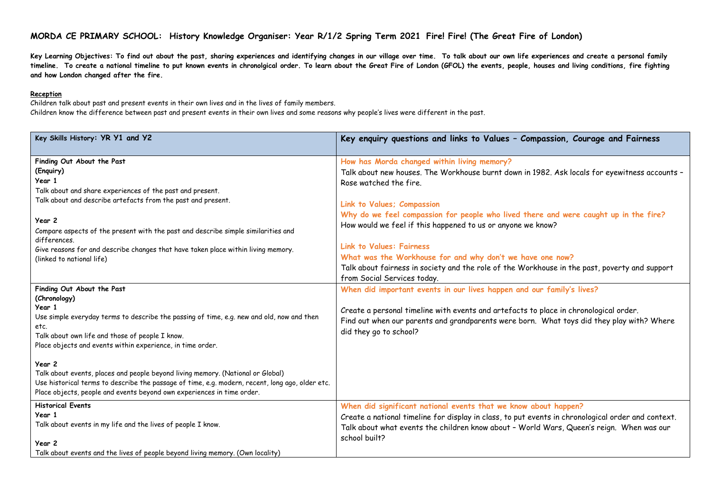## **MORDA CE PRIMARY SCHOOL: History Knowledge Organiser: Year R/1/2 Spring Term 2021 Fire! Fire! (The Great Fire of London)**

**Key Learning Objectives: To find out about the past, sharing experiences and identifying changes in our village over time. To talk about our own life experiences and create a personal family timeline. To create a national timeline to put known events in chronolgical order. To learn about the Great Fire of London (GFOL) the events, people, houses and living conditions, fire fighting and how London changed after the fire.** 

### **Reception**

Children talk about past and present events in their own lives and in the lives of family members.

Children know the difference between past and present events in their own lives and some reasons why people's lives were different in the past.

| Key Skills History: YR Y1 and Y2                                                                                                                                                                                                                                                                                                                                                                                                                                                                                                                     | Key enquiry questions and links to Values - Compassion, Courage and Fairness                                                                                                                                                                                                                                                                                                                                                                                                                                                                                                                |
|------------------------------------------------------------------------------------------------------------------------------------------------------------------------------------------------------------------------------------------------------------------------------------------------------------------------------------------------------------------------------------------------------------------------------------------------------------------------------------------------------------------------------------------------------|---------------------------------------------------------------------------------------------------------------------------------------------------------------------------------------------------------------------------------------------------------------------------------------------------------------------------------------------------------------------------------------------------------------------------------------------------------------------------------------------------------------------------------------------------------------------------------------------|
| Finding Out About the Past<br>(Enquiry)<br>Year 1<br>Talk about and share experiences of the past and present.<br>Talk about and describe artefacts from the past and present.<br>Year 2<br>Compare aspects of the present with the past and describe simple similarities and<br>differences.<br>Give reasons for and describe changes that have taken place within living memory.<br>(linked to national life)                                                                                                                                      | How has Morda changed within living memory?<br>Talk about new houses. The Workhouse burnt down in 1982. Ask locals for eyewitness accounts -<br>Rose watched the fire.<br>Link to Values; Compassion<br>Why do we feel compassion for people who lived there and were caught up in the fire?<br>How would we feel if this happened to us or anyone we know?<br><b>Link to Values: Fairness</b><br>What was the Workhouse for and why don't we have one now?<br>Talk about fairness in society and the role of the Workhouse in the past, poverty and support<br>from Social Services today. |
| Finding Out About the Past<br>(Chronology)<br>Year 1<br>Use simple everyday terms to describe the passing of time, e.g. new and old, now and then<br>etc.<br>Talk about own life and those of people I know.<br>Place objects and events within experience, in time order.<br>Year 2<br>Talk about events, places and people beyond living memory. (National or Global)<br>Use historical terms to describe the passage of time, e.g. modern, recent, long ago, older etc.<br>Place objects, people and events beyond own experiences in time order. | When did important events in our lives happen and our family's lives?<br>Create a personal timeline with events and artefacts to place in chronological order.<br>Find out when our parents and grandparents were born. What toys did they play with? Where<br>did they go to school?                                                                                                                                                                                                                                                                                                       |
| <b>Historical Events</b><br>Year 1<br>Talk about events in my life and the lives of people I know.<br>Year 2<br>Talk about events and the lives of people beyond living memory. (Own locality)                                                                                                                                                                                                                                                                                                                                                       | When did significant national events that we know about happen?<br>Create a national timeline for display in class, to put events in chronological order and context.<br>Talk about what events the children know about - World Wars, Queen's reign. When was our<br>school built?                                                                                                                                                                                                                                                                                                          |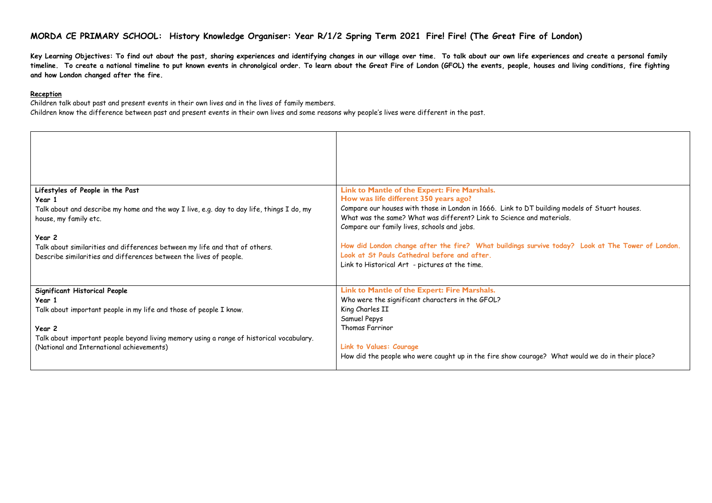## **MORDA CE PRIMARY SCHOOL: History Knowledge Organiser: Year R/1/2 Spring Term 2021 Fire! Fire! (The Great Fire of London)**

**Key Learning Objectives: To find out about the past, sharing experiences and identifying changes in our village over time. To talk about our own life experiences and create a personal family timeline. To create a national timeline to put known events in chronolgical order. To learn about the Great Fire of London (GFOL) the events, people, houses and living conditions, fire fighting and how London changed after the fire.** 

#### **Reception**

Children talk about past and present events in their own lives and in the lives of family members.

Children know the difference between past and present events in their own lives and some reasons why people's lives were different in the past.

| Lifestyles of People in the Past                                                          | Link to Mantle of the Expert: Fire Marshals.                                                     |
|-------------------------------------------------------------------------------------------|--------------------------------------------------------------------------------------------------|
| Year 1                                                                                    | How was life different 350 years ago?                                                            |
| Talk about and describe my home and the way I live, e.g. day to day life, things I do, my | Compare our houses with those in London in 1666. Link to DT building models of Stuart houses.    |
| house, my family etc.                                                                     | What was the same? What was different? Link to Science and materials.                            |
|                                                                                           | Compare our family lives, schools and jobs.                                                      |
| Year 2                                                                                    |                                                                                                  |
| Talk about similarities and differences between my life and that of others.               | How did London change after the fire? What buildings survive today? Look at The Tower of London. |
| Describe similarities and differences between the lives of people.                        | Look at St Pauls Cathedral before and after.                                                     |
|                                                                                           | Link to Historical Art - pictures at the time.                                                   |
|                                                                                           | Link to Mantle of the Expert: Fire Marshals.                                                     |
| Significant Historical People<br>Year 1                                                   | Who were the significant characters in the GFOL?                                                 |
| Talk about important people in my life and those of people I know.                        | King Charles II                                                                                  |
|                                                                                           | Samuel Pepys                                                                                     |
| Year 2                                                                                    | Thomas Farrinor                                                                                  |
| Talk about important people beyond living memory using a range of historical vocabulary.  |                                                                                                  |
| (National and International achievements)                                                 | Link to Values: Courage                                                                          |
|                                                                                           | How did the people who were caught up in the fire show courage? What would we do in their place? |
|                                                                                           |                                                                                                  |